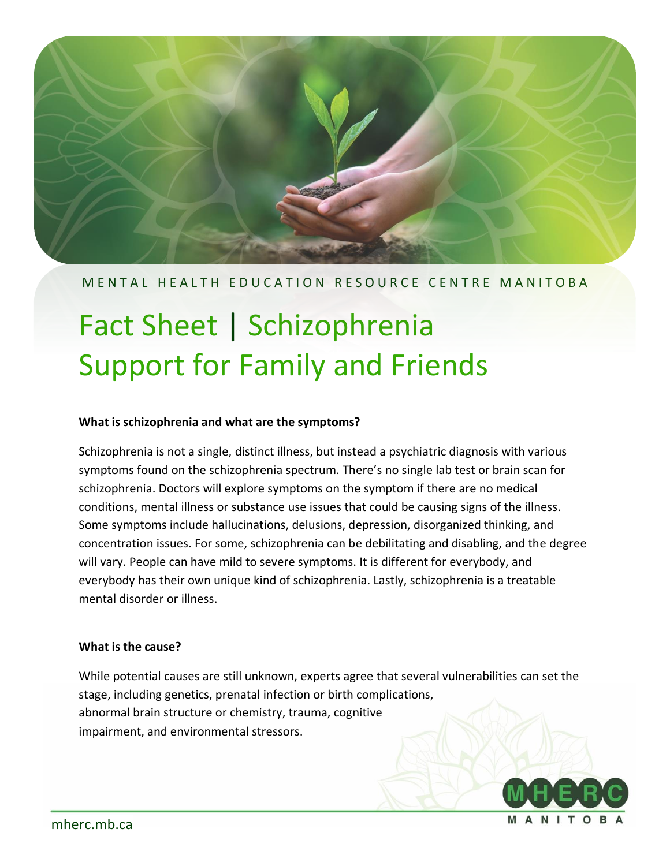

#### M E N T A L H E A L T H E D U C A T I O N R E S O U R C E C E N T R EM A N I T O B A

# Fact Sheet | Schizophrenia Support for Family and Friends

#### **What is schizophrenia and what are the symptoms?**

Schizophrenia is not a single, distinct illness, but instead a psychiatric diagnosis with various symptoms found on the schizophrenia spectrum. There's no single lab test or brain scan for schizophrenia. Doctors will explore symptoms on the symptom if there are no medical conditions, mental illness or substance use issues that could be causing signs of the illness. Some symptoms include hallucinations, delusions, depression, disorganized thinking, and concentration issues. For some, schizophrenia can be debilitating and disabling, and the degree will vary. People can have mild to severe symptoms. It is different for everybody, and everybody has their own unique kind of schizophrenia. Lastly, schizophrenia is a treatable mental disorder or illness.

#### **What is the cause?**

While potential causes are still unknown, experts agree that several vulnerabilities can set the stage, including genetics, prenatal infection or birth complications, abnormal brain structure or chemistry, trauma, cognitive impairment, and environmental stressors.

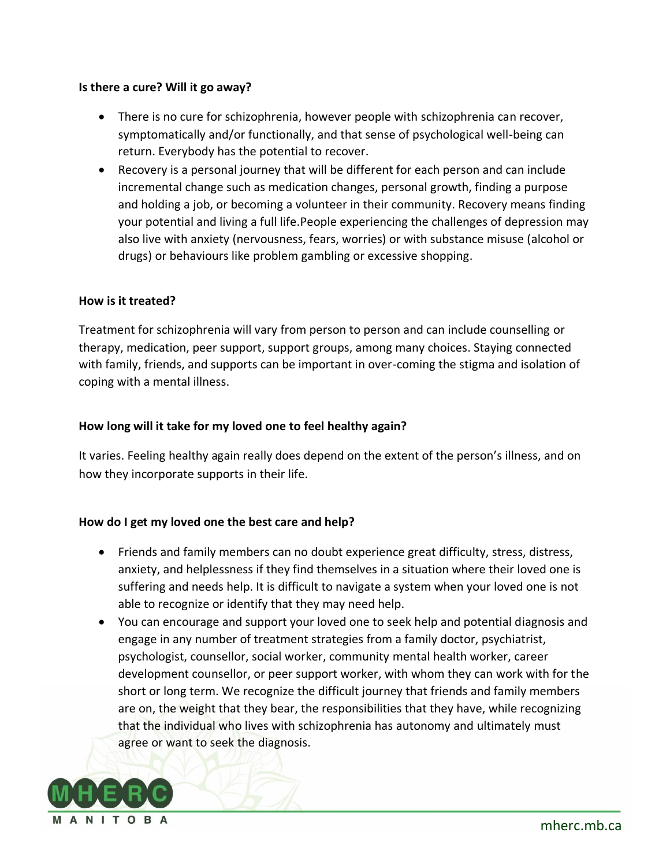#### **Is there a cure? Will it go away?**

- There is no cure for schizophrenia, however people with schizophrenia can recover, symptomatically and/or functionally, and that sense of psychological well-being can return. Everybody has the potential to recover.
- Recovery is a personal journey that will be different for each person and can include incremental change such as medication changes, personal growth, finding a purpose and holding a job, or becoming a volunteer in their community. Recovery means finding your potential and living a full life.People experiencing the challenges of depression may also live with anxiety (nervousness, fears, worries) or with substance misuse (alcohol or drugs) or behaviours like problem gambling or excessive shopping.

#### **How is it treated?**

Treatment for schizophrenia will vary from person to person and can include counselling or therapy, medication, peer support, support groups, among many choices. Staying connected with family, friends, and supports can be important in over-coming the stigma and isolation of coping with a mental illness.

#### **How long will it take for my loved one to feel healthy again?**

It varies. Feeling healthy again really does depend on the extent of the person's illness, and on how they incorporate supports in their life.

#### **How do I get my loved one the best care and help?**

- Friends and family members can no doubt experience great difficulty, stress, distress, anxiety, and helplessness if they find themselves in a situation where their loved one is suffering and needs help. It is difficult to navigate a system when your loved one is not able to recognize or identify that they may need help.
- You can encourage and support your loved one to seek help and potential diagnosis and engage in any number of treatment strategies from a family doctor, psychiatrist, psychologist, counsellor, social worker, community mental health worker, career development counsellor, or peer support worker, with whom they can work with for the short or long term. We recognize the difficult journey that friends and family members are on, the weight that they bear, the responsibilities that they have, while recognizing that the individual who lives with schizophrenia has autonomy and ultimately must agree or want to seek the diagnosis.

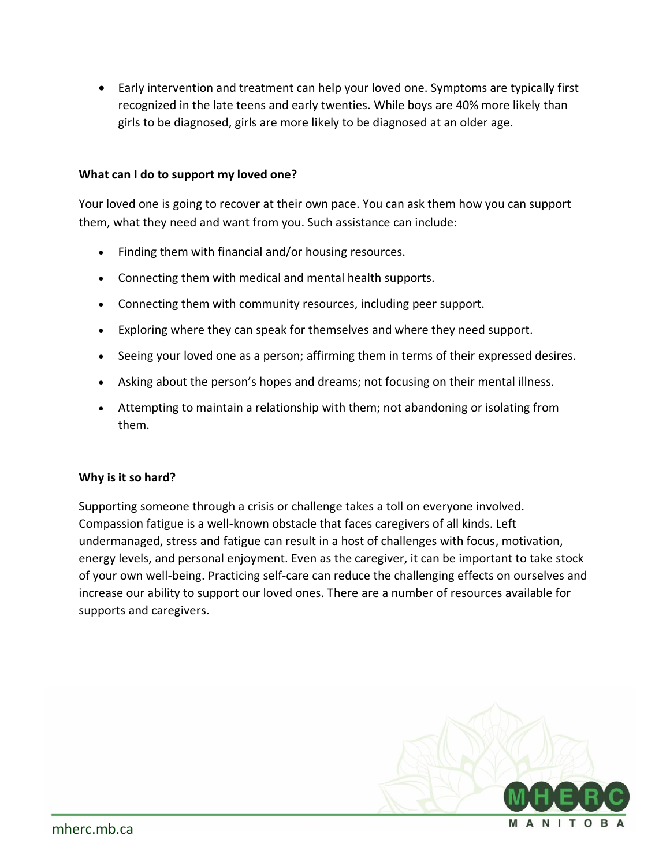• Early intervention and treatment can help your loved one. Symptoms are typically first recognized in the late teens and early twenties. While boys are 40% more likely than girls to be diagnosed, girls are more likely to be diagnosed at an older age.

#### **What can I do to support my loved one?**

Your loved one is going to recover at their own pace. You can ask them how you can support them, what they need and want from you. Such assistance can include:

- Finding them with financial and/or housing resources.
- Connecting them with medical and mental health supports.
- Connecting them with community resources, including peer support.
- Exploring where they can speak for themselves and where they need support.
- Seeing your loved one as a person; affirming them in terms of their expressed desires.
- Asking about the person's hopes and dreams; not focusing on their mental illness.
- Attempting to maintain a relationship with them; not abandoning or isolating from them.

#### **Why is it so hard?**

Supporting someone through a crisis or challenge takes a toll on everyone involved. Compassion fatigue is a well-known obstacle that faces caregivers of all kinds. Left undermanaged, stress and fatigue can result in a host of challenges with focus, motivation, energy levels, and personal enjoyment. Even as the caregiver, it can be important to take stock of your own well-being. Practicing self-care can reduce the challenging effects on ourselves and increase our ability to support our loved ones. There are a number of resources available for supports and caregivers.

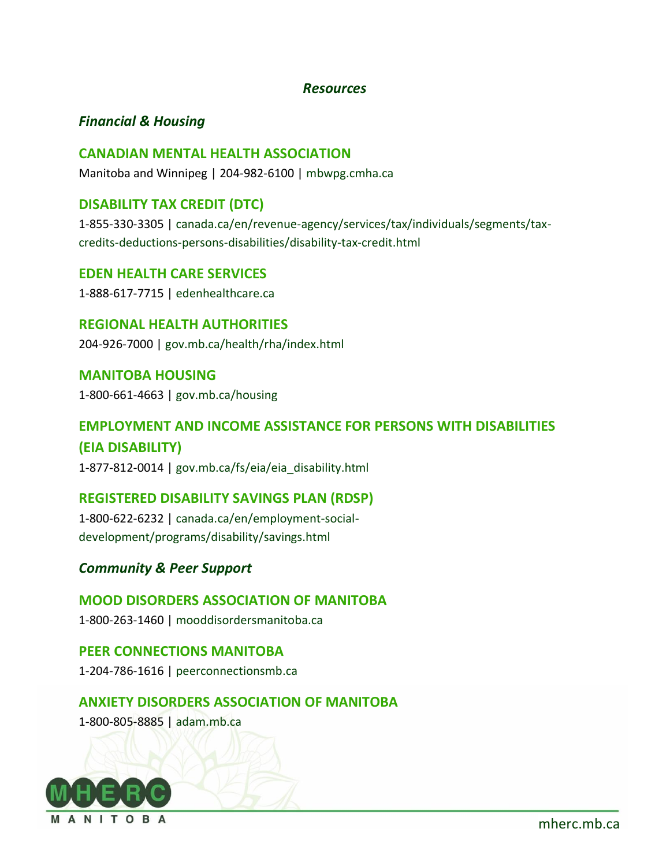#### *Resources*

### *Financial & Housing*

#### **CANADIAN MENTAL HEALTH ASSOCIATION**

Manitoba and Winnipeg | 204-982-6100 | [mbwpg.cmha.ca](https://mbwpg.cmha.ca/)

# **DISABILITY TAX CREDIT (DTC)**

1-855-330-3305 | [canada.ca/en/revenue-agency/services/tax/individuals/segments/tax](https://www.canada.ca/en/revenue-agency/services/tax/individuals/segments/tax-credits-deductions-persons-disabilities/disability-tax-credit.html)[credits-deductions-persons-disabilities/disability-tax-credit.html](https://www.canada.ca/en/revenue-agency/services/tax/individuals/segments/tax-credits-deductions-persons-disabilities/disability-tax-credit.html)

# **EDEN HEALTH CARE SERVICES**

1-888-617-7715 | [edenhealthcare.ca](https://edenhealthcare.ca/)

#### **REGIONAL HEALTH AUTHORITIES**

204-926-7000 | [gov.mb.ca/health/rha/index.html](https://www.gov.mb.ca/health/rha/index.html)

#### **MANITOBA HOUSING**

1-800-661-4663 | [gov.mb.ca/housing](https://www.gov.mb.ca/housing)

# **EMPLOYMENT AND INCOME ASSISTANCE FOR PERSONS WITH DISABILITIES (EIA DISABILITY)**

1-877-812-0014 | [gov.mb.ca/fs/eia/eia\\_disability.html](https://www.gov.mb.ca/fs/eia/eia_disability.html)

# **REGISTERED DISABILITY SAVINGS PLAN (RDSP)**

1-800-622-6232 | [canada.ca/en/employment-social](https://www.canada.ca/en/employment-social-development/programs/disability/savings.html)[development/programs/disability/savings.html](https://www.canada.ca/en/employment-social-development/programs/disability/savings.html)

# *Community & Peer Support*

# **MOOD DISORDERS ASSOCIATION OF MANITOBA**

1-800-263-1460 | [mooddisordersmanitoba.ca](http://www.mooddisordersmanitoba.ca/)

# **PEER CONNECTIONS MANITOBA**

1-204-786-1616 | [peerconnectionsmb.ca](https://peerconnectionsmb.ca/)

# **ANXIETY DISORDERS ASSOCIATION OF MANITOBA**

1-800-805-8885 | [adam.mb.ca](https://www.adam.mb.ca/)